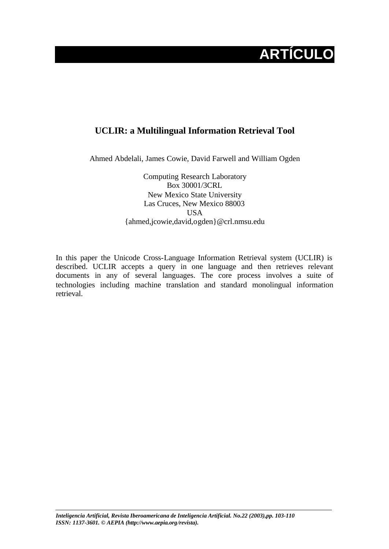# **ARTÍCULO**

# **UCLIR: a Multilingual Information Retrieval Tool**

Ahmed Abdelali, James Cowie, David Farwell and William Ogden

Computing Research Laboratory Box 30001/3CRL New Mexico State University Las Cruces, New Mexico 88003 **USA** {ahmed,jcowie,david,ogden}@crl.nmsu.edu

In this paper the Unicode Cross-Language Information Retrieval system (UCLIR) is described. UCLIR accepts a query in one language and then retrieves relevant documents in any of several languages. The core process involves a suite of technologies including machine translation and standard monolingual information retrieval.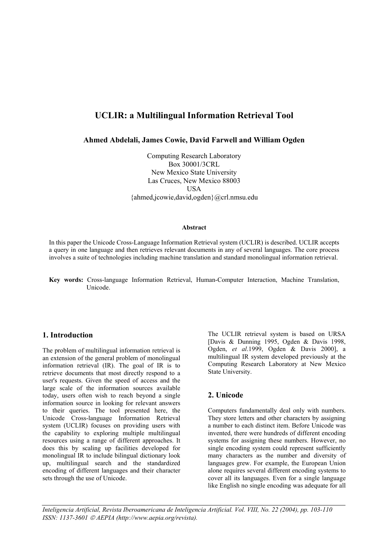## **UCLIR: a Multilingual Information Retrieval Tool**

**Ahmed Abdelali, James Cowie, David Farwell and William Ogden** 

Computing Research Laboratory Box 30001/3CRL New Mexico State University Las Cruces, New Mexico 88003 **USA** {ahmed,jcowie,david,ogden}@crl.nmsu.edu

#### **Abstract**

In this paper the Unicode Cross-Language Information Retrieval system (UCLIR) is described. UCLIR accepts a query in one language and then retrieves relevant documents in any of several languages. The core process involves a suite of technologies including machine translation and standard monolingual information retrieval.

**Key words:** Cross-language Information Retrieval, Human-Computer Interaction, Machine Translation, Unicode.

The problem of multilingual information retrieval is an extension of the general problem of monolingual information retrieval (IR). The goal of IR is to retrieve documents that most directly respond to a user's requests. Given the speed of access and the large scale of the information sources available today, users often wish to reach beyond a single information source in looking for relevant answers to their queries. The tool presented here, the Unicode Cross-language Information Retrieval system (UCLIR) focuses on providing users with the capability to exploring multiple multilingual resources using a range of different approaches. It does this by scaling up facilities developed for monolingual IR to include bilingual dictionary look up, multilingual search and the standardized encoding of different languages and their character sets through the use of Unicode.

**1. Introduction** The UCLIR retrieval system is based on URSA [Davis & Dunning 1995, Ogden & Davis 1998, Ogden, *et al*.1999, Ogden & Davis 2000], a multilingual IR system developed previously at the Computing Research Laboratory at New Mexico State University.

### **2. Unicode**

Computers fundamentally deal only with numbers. They store letters and other characters by assigning a number to each distinct item. Before Unicode was invented, there were hundreds of different encoding systems for assigning these numbers. However, no single encoding system could represent sufficiently many characters as the number and diversity of languages grew. For example, the European Union alone requires several different encoding systems to cover all its languages. Even for a single language like English no single encoding was adequate for all

*Inteligencia Artificial, Revista Iberoamericana de Inteligencia Artificial. Vol. VIII, No. 22 (2004), pp. 103-110 ISSN: 1137-3601 AEPIA (http://www.aepia.org/revista).*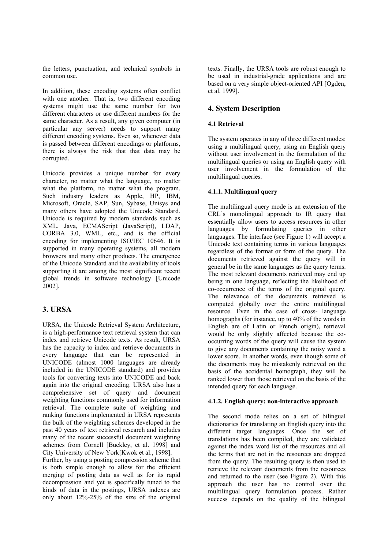the letters, punctuation, and technical symbols in common use.

In addition, these encoding systems often conflict with one another. That is, two different encoding systems might use the same number for two different characters or use different numbers for the same character. As a result, any given computer (in particular any server) needs to support many different encoding systems. Even so, whenever data is passed between different encodings or platforms, there is always the risk that that data may be corrupted.

Unicode provides a unique number for every character, no matter what the language, no matter what the platform, no matter what the program. Such industry leaders as Apple, HP, IBM, Microsoft, Oracle, SAP, Sun, Sybase, Unisys and many others have adopted the Unicode Standard. Unicode is required by modern standards such as XML, Java, ECMAScript (JavaScript), LDAP, CORBA 3.0, WML, etc., and is the official encoding for implementing ISO/IEC 10646. It is supported in many operating systems, all modern browsers and many other products. The emergence of the Unicode Standard and the availability of tools supporting it are among the most significant recent global trends in software technology [Unicode 2002].

### **3. URSA**

URSA, the Unicode Retrieval System Architecture, is a high-performance text retrieval system that can index and retrieve Unicode texts. As result, URSA has the capacity to index and retrieve documents in every language that can be represented in UNICODE (almost 1000 languages are already included in the UNICODE standard) and provides tools for converting texts into UNICODE and back again into the original encoding. URSA also has a comprehensive set of query and document weighting functions commonly used for information retrieval. The complete suite of weighting and ranking functions implemented in URSA represents the bulk of the weighting schemes developed in the past 40 years of text retrieval research and includes many of the recent successful document weighting schemes from Cornell [Buckley, et al. 1998] and City University of New York[Kwok et al., 1998].

Further, by using a posting compression scheme that is both simple enough to allow for the efficient merging of posting data as well as for its rapid decompression and yet is specifically tuned to the kinds of data in the postings, URSA indexes are only about 12%-25% of the size of the original

texts. Finally, the URSA tools are robust enough to be used in industrial-grade applications and are based on a very simple object-oriented API [Ogden, et al. 1999].

#### **4. System Description**

#### **4.1 Retrieval**

The system operates in any of three different modes: using a multilingual query, using an English query without user involvement in the formulation of the multilingual queries or using an English query with user involvement in the formulation of the multilingual queries.

#### **4.1.1. Multilingual query**

The multilingual query mode is an extension of the CRL's monolingual approach to IR query that essentially allow users to access resources in other languages by formulating queries in other languages. The interface (see Figure 1) will accept a Unicode text containing terms in various languages regardless of the format or form of the query. The documents retrieved against the query will in general be in the same languages as the query terms. The most relevant documents retrieved may end up being in one language, reflecting the likelihood of co-occurrence of the terms of the original query. The relevance of the documents retrieved is computed globally over the entire multilingual resource. Even in the case of cross- language homographs (for instance, up to 40% of the words in English are of Latin or French origin), retrieval would be only slightly affected because the cooccurring words of the query will cause the system to give any documents containing the noisy word a lower score. In another words, even though some of the documents may be mistakenly retrieved on the basis of the accidental homograph, they will be ranked lower than those retrieved on the basis of the intended query for each language.

#### **4.1.2. English query: non-interactive approach**

The second mode relies on a set of bilingual dictionaries for translating an English query into the different target languages. Once the set of translations has been compiled, they are validated against the index word list of the resources and all the terms that are not in the resources are dropped from the query. The resulting query is then used to retrieve the relevant documents from the resources and returned to the user (see Figure 2). With this approach the user has no control over the multilingual query formulation process. Rather success depends on the quality of the bilingual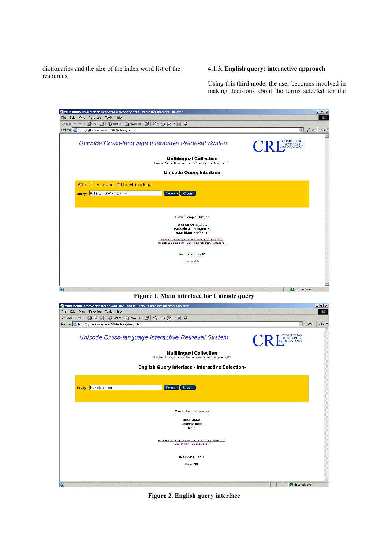dictionaries and the size of the index word list of the **4.1.3. English query: interactive approach** resources.

Using this third mode, the user becomes involved in making decisions about the terms selected for the



**Figure 1. Main interface for Unicode query** 

| Multilingual Information Retrieval: Using English Query - Microsoft Internet Explorer          |                                             | $-17 \times$                          |
|------------------------------------------------------------------------------------------------|---------------------------------------------|---------------------------------------|
| Edit View Favorites Tools<br>File<br>Help                                                      |                                             | 獅                                     |
| 335<br>◎Search 图 Favorites ③ 凸 → 画 → 画 →<br>← Back →                                           |                                             |                                       |
| Address   http://kythera.nmsu.edu:8099/ml/lang-i-eng.html                                      | $\overline{\mathbf{r}}$                     | $\alpha$<br>Links <sup>&gt;&gt;</sup> |
| Unicode Cross-language Interactive Retrieval System                                            | <b>COMPUTING<br/>RESEARCH<br/>ABORATORY</b> |                                       |
| <b>Multilingual Collection</b><br>Russian, Arabio, Spanish, Persian Newspapers of May-June, 02 |                                             |                                       |
| <b>English Query Interface - Interactive Selection-</b>                                        |                                             |                                       |
| Query: Pakistan India<br>Search Clear                                                          |                                             |                                       |
| Close Sample Queries                                                                           |                                             |                                       |
| <b>Wall Street</b><br>Pakistan India<br>Mars                                                   |                                             |                                       |
| Search using English query - non interactive interface -<br>Search using Unicode query         |                                             |                                       |
| Best viewed using IE                                                                           |                                             |                                       |
| Home CRL                                                                                       |                                             |                                       |
|                                                                                                |                                             | $\overline{\mathbf v}$                |
| 固                                                                                              | Trusted sites                               |                                       |

**Figure 2. English query interface**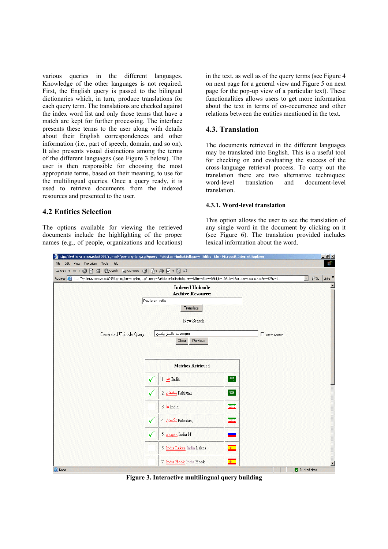various queries in the different languages. Knowledge of the other languages is not required. First, the English query is passed to the bilingual dictionaries which, in turn, produce translations for each query term. The translations are checked against the index word list and only those terms that have a match are kept for further processing. The interface presents these terms to the user along with details about their English correspondences and other information (i.e., part of speech, domain, and so on). It also presents visual distinctions among the terms of the different languages (see Figure 3 below). The user is then responsible for choosing the most appropriate terms, based on their meaning, to use for the multilingual queries. Once a query ready, it is used to retrieve documents from the indexed resources and presented to the user.

#### in the text, as well as of the query terms (see Figure 4 on next page for a general view and Figure 5 on next page for the pop-up view of a particular text). These functionalities allows users to get more information about the text in terms of co-occurrence and other relations between the entities mentioned in the text.

### **4.3. Translation**

The documents retrieved in the different languages may be translated into English. This is a useful tool for checking on and evaluating the success of the cross-language retrieval process. To carry out the translation there are two alternative techniques: word-level translation and document-level translation.

#### **4.3.1. Word-level translation**

#### **4.2 Entities Selection**

The options available for viewing the retrieved documents include the highlighting of the proper names (e.g., of people, organizations and locations)





**Figure 3. Interactive multilingual query building**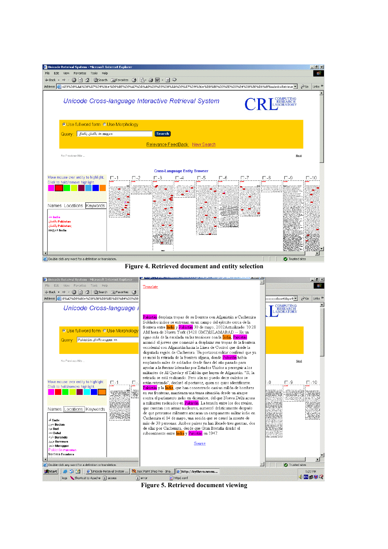

**Figure 4. Retrieved document and entity selection** 



**Figure 5. Retrieved document viewing**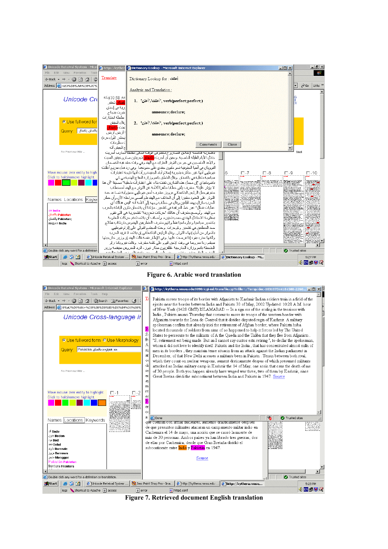





**Figure 7. Retrieved document English translation**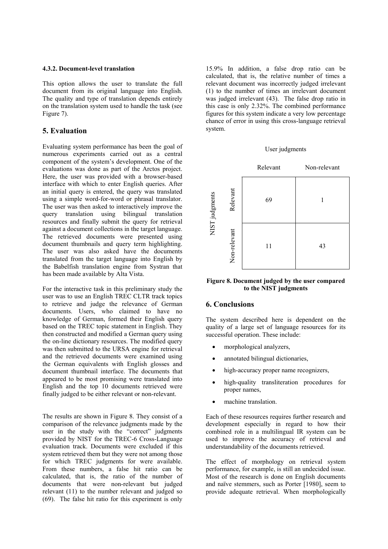#### **4.3.2. Document-level translation**

This option allows the user to translate the full document from its original language into English. The quality and type of translation depends entirely on the translation system used to handle the task (see Figure 7).

#### **5. Evaluation**

Evaluating system performance has been the goal of numerous experiments carried out as a central component of the system's development. One of the evaluations was done as part of the Arctos project. Here, the user was provided with a browser-based interface with which to enter English queries. After an initial query is entered, the query was translated using a simple word-for-word or phrasal translator. The user was then asked to interactively improve the query translation using bilingual translation resources and finally submit the query for retrieval against a document collections in the target language. The retrieved documents were presented using document thumbnails and query term highlighting. The user was also asked have the documents translated from the target language into English by the Babelfish translation engine from Systran that has been made available by Alta Vista.

For the interactive task in this preliminary study the user was to use an English TREC CLTR track topics to retrieve and judge the relevance of German documents. Users, who claimed to have no knowledge of German, formed their English query based on the TREC topic statement in English. They then constructed and modified a German query using the on-line dictionary resources. The modified query was then submitted to the URSA engine for retrieval and the retrieved documents were examined using the German equivalents with English glosses and document thumbnail interface. The documents that appeared to be most promising were translated into English and the top 10 documents retrieved were finally judged to be either relevant or non-relevant.

The results are shown in Figure 8. They consist of a comparison of the relevance judgments made by the user in the study with the "correct" judgments provided by NIST for the TREC-6 Cross-Language evaluation track. Documents were excluded if this system retrieved them but they were not among those for which TREC judgments for were available. From these numbers, a false hit ratio can be calculated, that is, the ratio of the number of documents that were non-relevant but judged relevant (11) to the number relevant and judged so (69). The false hit ratio for this experiment is only

15.9% In addition, a false drop ratio can be calculated, that is, the relative number of times a relevant document was incorrectly judged irrelevant (1) to the number of times an irrelevant document was judged irrelevant (43). The false drop ratio in this case is only 2.32%. The combined performance figures for this system indicate a very low percentage chance of error in using this cross-language retrieval system.

#### User judgments



#### **Figure 8. Document judged by the user compared to the NIST judgments**

#### **6. Conclusions**

The system described here is dependent on the quality of a large set of language resources for its successful operation. These include:

- morphological analyzers.
- annotated bilingual dictionaries,
- high-accuracy proper name recognizers,
- high-quality transliteration procedures for proper names,
- machine translation.

Each of these resources requires further research and development especially in regard to how their combined role in a multilingual IR system can be used to improve the accuracy of retrieval and understandability of the documents retrieved.

The effect of morphology on retrieval system performance, for example, is still an undecided issue. Most of the research is done on English documents and naïve stemmers, such as Porter [1980], seem to provide adequate retrieval. When morphologically